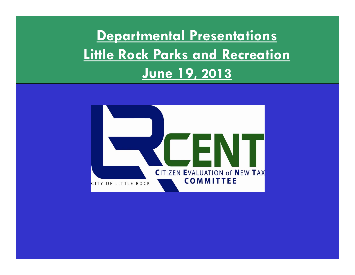**Departmental Presentations Little Rock Parks and Recreation June 19, 2013**

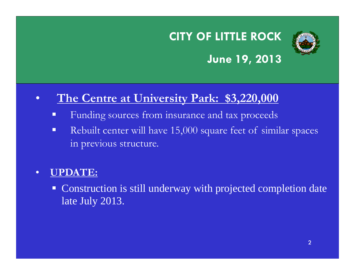

## **June 19, 2013**

#### •**The Centre at University Park: \$3,220,000**

- Funding sources from insurance and tax proceeds
- $\blacksquare$  Rebuilt center will have 15,000 square feet of similar spaces in previous structure.

#### •**UPDATE:**

**Construction is still underway with projected completion date** late July 2013.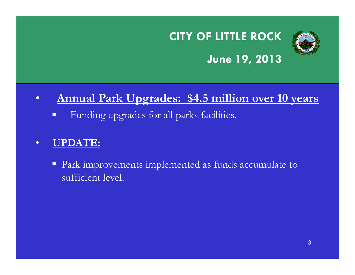

## **June 19, 2013**

#### $\bullet$ **Annual Park Upgrades: \$4.5 million over 10 years**

 $\Box$ Funding upgrades for all parks facilities.

#### •**UPDATE:**

**Park improvements implemented as funds accumulate to** sufficient level.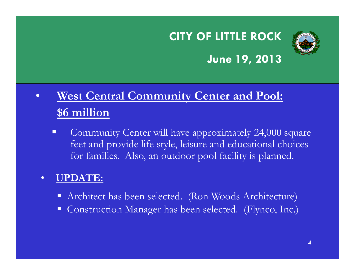

## **June 19, 2013**

### $\bullet$  **West Central Community Center and Pool: \$6 million**

 $\blacksquare$  Community Center will have approximately 24,000 square feet and provide life style, leisure and educational choices for families. Also, an outdoor pool facility is planned.

#### •**UPDATE:**

- Architect has been selected. (Ron Woods Architecture)
- $\Box$ Construction Manager has been selected. (Flynco, Inc.)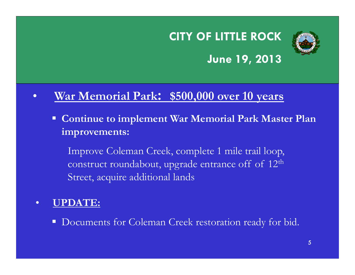

## **June 19, 2013**

#### $\bullet$ **War Memorial Park: \$500,000 over 10 years**

 **Continue to implement War Memorial Park Master Plan improvements:** 

Improve Coleman Creek, complete 1 mile trail loop, construct roundabout, upgrade entrance off of 12t<sup>h</sup> Street, acquire additional lands

#### $\bullet$ **UPDATE:**

Documents for Coleman Creek restoration ready for bid.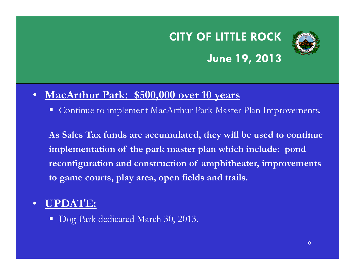## **CITY OF LITTLE ROCK June 19, 2013**



### • **MacArthur Park: \$500,000 over 10 years**

Ξ Continue to implement MacArthur Park Master Plan Improvements.

**As Sales Tax funds are accumulated, they will be used to continue implementation of the park master plan which include: pond reconfiguration and construction of amphitheater, improvements to game courts, play area, open fields and trails.**

#### $\bullet$ **UPDATE:**

■ Dog Park dedicated March 30, 2013.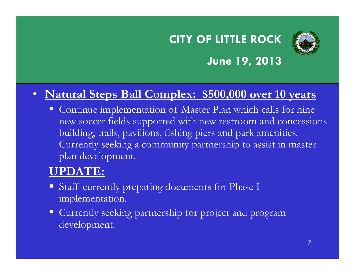

## **June 19, 2013**

## • **Natural Steps Ball Complex: \$500,000 over 10 years**

 $\Box$  Continue implementation of Master Plan which calls for nine new soccer fields supported with new restroom and concessions building, trails, pavilions, fishing piers and park amenities. Currently seeking a community partnership to assist in master plan development.

## **UPDATE:**

- **Staff currently preparing documents for Phase I** implementation.
- **Currently seeking partnership for project and program** development.